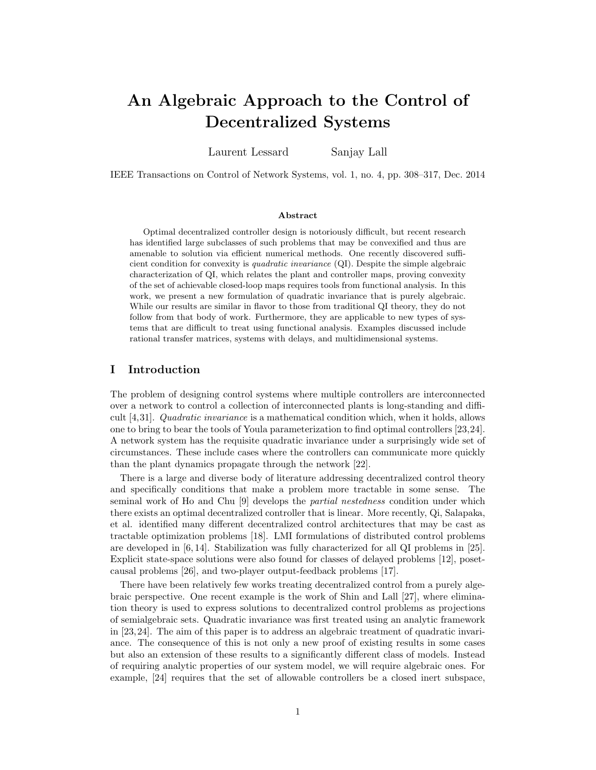# An Algebraic Approach to the Control of Decentralized Systems

Laurent Lessard Sanjay Lall

IEEE Transactions on Control of Network Systems, vol. 1, no. 4, pp. 308–317, Dec. 2014

### Abstract

Optimal decentralized controller design is notoriously difficult, but recent research has identified large subclasses of such problems that may be convexified and thus are amenable to solution via efficient numerical methods. One recently discovered sufficient condition for convexity is quadratic invariance (QI). Despite the simple algebraic characterization of QI, which relates the plant and controller maps, proving convexity of the set of achievable closed-loop maps requires tools from functional analysis. In this work, we present a new formulation of quadratic invariance that is purely algebraic. While our results are similar in flavor to those from traditional QI theory, they do not follow from that body of work. Furthermore, they are applicable to new types of systems that are difficult to treat using functional analysis. Examples discussed include rational transfer matrices, systems with delays, and multidimensional systems.

# I Introduction

The problem of designing control systems where multiple controllers are interconnected over a network to control a collection of interconnected plants is long-standing and difficult [\[4,](#page-15-0)[31\]](#page-16-0). Quadratic invariance is a mathematical condition which, when it holds, allows one to bring to bear the tools of Youla parameterization to find optimal controllers [\[23,](#page-16-1)[24\]](#page-16-2). A network system has the requisite quadratic invariance under a surprisingly wide set of circumstances. These include cases where the controllers can communicate more quickly than the plant dynamics propagate through the network [\[22\]](#page-16-3).

There is a large and diverse body of literature addressing decentralized control theory and specifically conditions that make a problem more tractable in some sense. The seminal work of Ho and Chu [\[9\]](#page-15-1) develops the partial nestedness condition under which there exists an optimal decentralized controller that is linear. More recently, Qi, Salapaka, et al. identified many different decentralized control architectures that may be cast as tractable optimization problems [\[18\]](#page-16-4). LMI formulations of distributed control problems are developed in [\[6,](#page-15-2) [14\]](#page-16-5). Stabilization was fully characterized for all QI problems in [\[25\]](#page-16-6). Explicit state-space solutions were also found for classes of delayed problems [\[12\]](#page-15-3), posetcausal problems [\[26\]](#page-16-7), and two-player output-feedback problems [\[17\]](#page-16-8).

There have been relatively few works treating decentralized control from a purely algebraic perspective. One recent example is the work of Shin and Lall [\[27\]](#page-16-9), where elimination theory is used to express solutions to decentralized control problems as projections of semialgebraic sets. Quadratic invariance was first treated using an analytic framework in [\[23,](#page-16-1)[24\]](#page-16-2). The aim of this paper is to address an algebraic treatment of quadratic invariance. The consequence of this is not only a new proof of existing results in some cases but also an extension of these results to a significantly different class of models. Instead of requiring analytic properties of our system model, we will require algebraic ones. For example, [\[24\]](#page-16-2) requires that the set of allowable controllers be a closed inert subspace,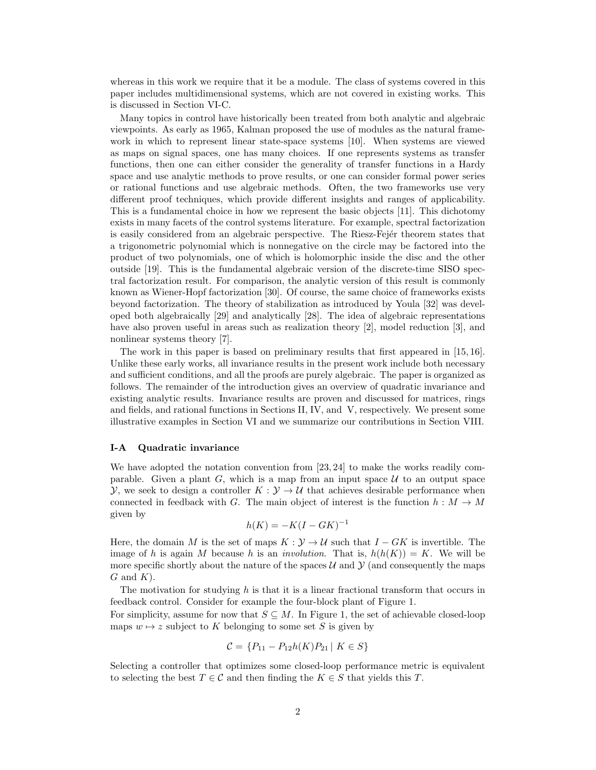whereas in this work we require that it be a module. The class of systems covered in this paper includes multidimensional systems, which are not covered in existing works. This is discussed in Section [VI-C.](#page-8-0)

Many topics in control have historically been treated from both analytic and algebraic viewpoints. As early as 1965, Kalman proposed the use of modules as the natural framework in which to represent linear state-space systems [\[10\]](#page-15-4). When systems are viewed as maps on signal spaces, one has many choices. If one represents systems as transfer functions, then one can either consider the generality of transfer functions in a Hardy space and use analytic methods to prove results, or one can consider formal power series or rational functions and use algebraic methods. Often, the two frameworks use very different proof techniques, which provide different insights and ranges of applicability. This is a fundamental choice in how we represent the basic objects [\[11\]](#page-15-5). This dichotomy exists in many facets of the control systems literature. For example, spectral factorization is easily considered from an algebraic perspective. The Riesz-Fejér theorem states that a trigonometric polynomial which is nonnegative on the circle may be factored into the product of two polynomials, one of which is holomorphic inside the disc and the other outside [\[19\]](#page-16-10). This is the fundamental algebraic version of the discrete-time SISO spectral factorization result. For comparison, the analytic version of this result is commonly known as Wiener-Hopf factorization [\[30\]](#page-16-11). Of course, the same choice of frameworks exists beyond factorization. The theory of stabilization as introduced by Youla [\[32\]](#page-16-12) was developed both algebraically [\[29\]](#page-16-13) and analytically [\[28\]](#page-16-14). The idea of algebraic representations have also proven useful in areas such as realization theory [\[2\]](#page-15-6), model reduction [\[3\]](#page-15-7), and nonlinear systems theory [\[7\]](#page-15-8).

The work in this paper is based on preliminary results that first appeared in [\[15,](#page-16-15) [16\]](#page-16-16). Unlike these early works, all invariance results in the present work include both necessary and sufficient conditions, and all the proofs are purely algebraic. The paper is organized as follows. The remainder of the introduction gives an overview of quadratic invariance and existing analytic results. Invariance results are proven and discussed for matrices, rings and fields, and rational functions in Sections [II,](#page-3-0) [IV,](#page-5-0) and [V,](#page-6-0) respectively. We present some illustrative examples in Section [VI](#page-7-0) and we summarize our contributions in Section [VIII.](#page-15-9)

## I-A Quadratic invariance

We have adopted the notation convention from [\[23,](#page-16-1) [24\]](#page-16-2) to make the works readily comparable. Given a plant G, which is a map from an input space  $U$  to an output space  $\mathcal{Y}$ , we seek to design a controller  $K : \mathcal{Y} \to \mathcal{U}$  that achieves desirable performance when connected in feedback with G. The main object of interest is the function  $h : M \to M$ given by

$$
h(K) = -K(I - GK)^{-1}
$$

Here, the domain M is the set of maps  $K : \mathcal{Y} \to \mathcal{U}$  such that  $I - GK$  is invertible. The image of h is again M because h is an *involution*. That is,  $h(h(K)) = K$ . We will be more specific shortly about the nature of the spaces  $\mathcal U$  and  $\mathcal Y$  (and consequently the maps  $G$  and  $K$ ).

The motivation for studying h is that it is a linear fractional transform that occurs in feedback control. Consider for example the four-block plant of Figure [1.](#page-2-0)

For simplicity, assume for now that  $S \subseteq M$ . In Figure [1,](#page-2-0) the set of achievable closed-loop maps  $w \mapsto z$  subject to K belonging to some set S is given by

$$
\mathcal{C} = \{ P_{11} - P_{12}h(K)P_{21} \mid K \in S \}
$$

Selecting a controller that optimizes some closed-loop performance metric is equivalent to selecting the best  $T \in \mathcal{C}$  and then finding the  $K \in S$  that yields this T.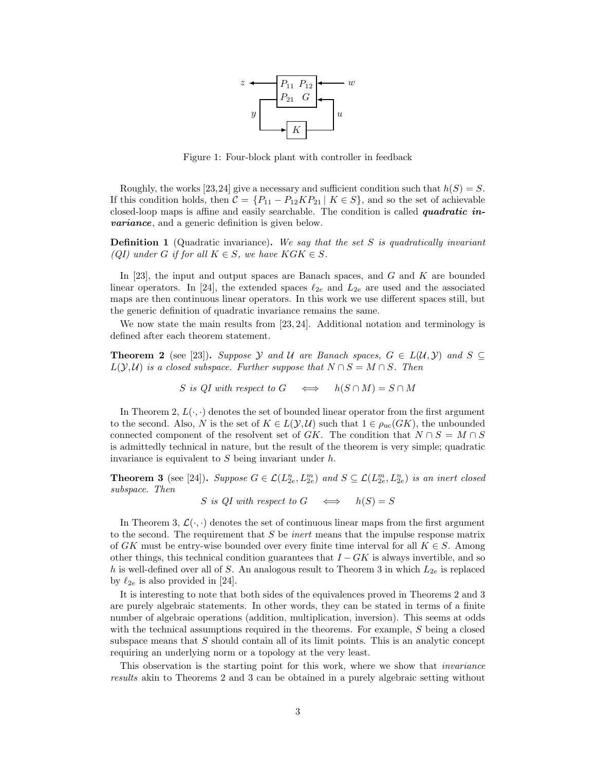

<span id="page-2-0"></span>Figure 1: Four-block plant with controller in feedback

Roughly, the works [\[23,](#page-16-1)[24\]](#page-16-2) give a necessary and sufficient condition such that  $h(S) = S$ . If this condition holds, then  $C = \{P_{11} - P_{12}KP_{21} \mid K \in S\}$ , and so the set of achievable closed-loop maps is affine and easily searchable. The condition is called quadratic invariance, and a generic definition is given below.

**Definition 1** (Quadratic invariance). We say that the set S is quadratically invariant (QI) under G if for all  $K \in S$ , we have  $KGK \in S$ .

In [\[23\]](#page-16-1), the input and output spaces are Banach spaces, and G and K are bounded linear operators. In [\[24\]](#page-16-2), the extended spaces  $\ell_{2e}$  and  $L_{2e}$  are used and the associated maps are then continuous linear operators. In this work we use different spaces still, but the generic definition of quadratic invariance remains the same.

We now state the main results from [\[23,](#page-16-1) [24\]](#page-16-2). Additional notation and terminology is defined after each theorem statement.

<span id="page-2-1"></span>**Theorem 2** (see [\[23\]](#page-16-1)). Suppose Y and U are Banach spaces,  $G \in L(\mathcal{U}, \mathcal{Y})$  and  $S \subseteq$  $L(Y, U)$  is a closed subspace. Further suppose that  $N \cap S = M \cap S$ . Then

$$
S
$$
 is  $QI$  with respect to  $G \iff h(S \cap M) = S \cap M$ 

In Theorem [2,](#page-2-1)  $L(\cdot, \cdot)$  denotes the set of bounded linear operator from the first argument to the second. Also, N is the set of  $K \in L(\mathcal{Y}, \mathcal{U})$  such that  $1 \in \rho_{\text{uc}}(GK)$ , the unbounded connected component of the resolvent set of GK. The condition that  $N \cap S = M \cap S$ is admittedly technical in nature, but the result of the theorem is very simple; quadratic invariance is equivalent to  $S$  being invariant under  $h$ .

<span id="page-2-2"></span>**Theorem 3** (see [\[24\]](#page-16-2)). Suppose  $G \in \mathcal{L}(L_{2e}^n, L_{2e}^m)$  and  $S \subseteq \mathcal{L}(L_{2e}^m, L_{2e}^n)$  is an inert closed subspace. Then

S is QI with respect to  $G \iff h(S) = S$ 

In Theorem [3,](#page-2-2)  $\mathcal{L}(\cdot, \cdot)$  denotes the set of continuous linear maps from the first argument to the second. The requirement that  $S$  be *inert* means that the impulse response matrix of GK must be entry-wise bounded over every finite time interval for all  $K \in S$ . Among other things, this technical condition guarantees that  $I - GK$  is always invertible, and so h is well-defined over all of S. An analogous result to Theorem [3](#page-2-2) in which  $L_{2e}$  is replaced by  $\ell_{2e}$  is also provided in [\[24\]](#page-16-2).

It is interesting to note that both sides of the equivalences proved in Theorems [2](#page-2-1) and [3](#page-2-2) are purely algebraic statements. In other words, they can be stated in terms of a finite number of algebraic operations (addition, multiplication, inversion). This seems at odds with the technical assumptions required in the theorems. For example, S being a closed subspace means that  $S$  should contain all of its limit points. This is an analytic concept requiring an underlying norm or a topology at the very least.

This observation is the starting point for this work, where we show that invariance results akin to Theorems [2](#page-2-1) and [3](#page-2-2) can be obtained in a purely algebraic setting without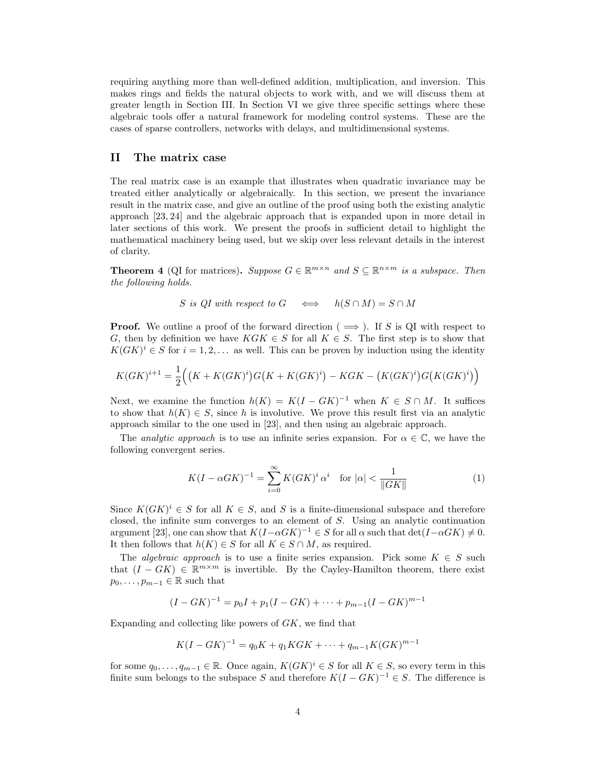requiring anything more than well-defined addition, multiplication, and inversion. This makes rings and fields the natural objects to work with, and we will discuss them at greater length in Section [III.](#page-4-0) In Section [VI](#page-7-0) we give three specific settings where these algebraic tools offer a natural framework for modeling control systems. These are the cases of sparse controllers, networks with delays, and multidimensional systems.

# <span id="page-3-0"></span>II The matrix case

The real matrix case is an example that illustrates when quadratic invariance may be treated either analytically or algebraically. In this section, we present the invariance result in the matrix case, and give an outline of the proof using both the existing analytic approach [\[23,](#page-16-1) [24\]](#page-16-2) and the algebraic approach that is expanded upon in more detail in later sections of this work. We present the proofs in sufficient detail to highlight the mathematical machinery being used, but we skip over less relevant details in the interest of clarity.

<span id="page-3-1"></span>**Theorem 4** (QI for matrices). Suppose  $G \in \mathbb{R}^{m \times n}$  and  $S \subseteq \mathbb{R}^{n \times m}$  is a subspace. Then the following holds.

$$
S
$$
 is  $QI$  with respect to  $G \iff h(S \cap M) = S \cap M$ 

**Proof.** We outline a proof of the forward direction ( $\implies$ ). If S is QI with respect to G, then by definition we have  $KGK \in S$  for all  $K \in S$ . The first step is to show that  $K(GK)^i \in S$  for  $i = 1, 2, \ldots$  as well. This can be proven by induction using the identity

$$
K(GK)^{i+1} = \frac{1}{2} ((K + K(GK)^{i})G(K + K(GK)^{i}) - KGK - (K(GK)^{i})G(K(GK)^{i}))
$$

Next, we examine the function  $h(K) = K(I - GK)^{-1}$  when  $K \in S \cap M$ . It suffices to show that  $h(K) \in S$ , since h is involutive. We prove this result first via an analytic approach similar to the one used in [\[23\]](#page-16-1), and then using an algebraic approach.

The *analytic approach* is to use an infinite series expansion. For  $\alpha \in \mathbb{C}$ , we have the following convergent series.

$$
K(I - \alpha G K)^{-1} = \sum_{i=0}^{\infty} K(G K)^{i} \alpha^{i} \text{ for } |\alpha| < \frac{1}{\|G K\|}
$$
 (1)

Since  $K(GK)^i \in S$  for all  $K \in S$ , and S is a finite-dimensional subspace and therefore closed, the infinite sum converges to an element of S. Using an analytic continuation argument [\[23\]](#page-16-1), one can show that  $K(I-\alpha G K)^{-1} \in S$  for all  $\alpha$  such that  $\det(I-\alpha G K) \neq 0$ . It then follows that  $h(K) \in S$  for all  $K \in S \cap M$ , as required.

The *algebraic approach* is to use a finite series expansion. Pick some  $K \in S$  such that  $(I - GK) \in \mathbb{R}^{m \times m}$  is invertible. By the Cayley-Hamilton theorem, there exist  $p_0, \ldots, p_{m-1} \in \mathbb{R}$  such that

$$
(I - GK)^{-1} = p_0I + p_1(I - GK) + \cdots + p_{m-1}(I - GK)^{m-1}
$$

Expanding and collecting like powers of GK, we find that

$$
K(I - GK)^{-1} = q_0K + q_1KGK + \cdots + q_{m-1}K(GK)^{m-1}
$$

for some  $q_0, \ldots, q_{m-1} \in \mathbb{R}$ . Once again,  $K(GK)^i \in S$  for all  $K \in S$ , so every term in this finite sum belongs to the subspace S and therefore  $K(I - GK)^{-1} \in S$ . The difference is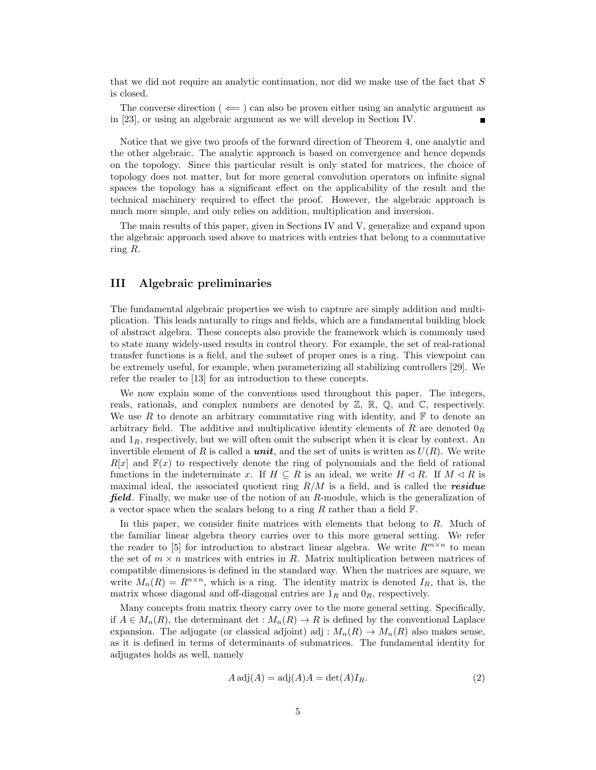that we did not require an analytic continuation, nor did we make use of the fact that  $S$ is closed.

The converse direction ( $\Leftarrow$ ) can also be proven either using an analytic argument as in [\[23\]](#page-16-1), or using an algebraic argument as we will develop in Section [IV.](#page-5-0)

Notice that we give two proofs of the forward direction of Theorem [4,](#page-3-1) one analytic and the other algebraic. The analytic approach is based on convergence and hence depends on the topology. Since this particular result is only stated for matrices, the choice of topology does not matter, but for more general convolution operators on infinite signal spaces the topology has a significant effect on the applicability of the result and the technical machinery required to effect the proof. However, the algebraic approach is much more simple, and only relies on addition, multiplication and inversion.

The main results of this paper, given in Sections [IV](#page-5-0) and [V,](#page-6-0) generalize and expand upon the algebraic approach used above to matrices with entries that belong to a commutative ring R.

# <span id="page-4-0"></span>III Algebraic preliminaries

The fundamental algebraic properties we wish to capture are simply addition and multiplication. This leads naturally to rings and fields, which are a fundamental building block of abstract algebra. These concepts also provide the framework which is commonly used to state many widely-used results in control theory. For example, the set of real-rational transfer functions is a field, and the subset of proper ones is a ring. This viewpoint can be extremely useful, for example, when parameterizing all stabilizing controllers [\[29\]](#page-16-13). We refer the reader to [\[13\]](#page-15-10) for an introduction to these concepts.

We now explain some of the conventions used throughout this paper. The integers, reals, rationals, and complex numbers are denoted by  $\mathbb{Z}, \mathbb{R}, \mathbb{Q}$ , and  $\mathbb{C}$ , respectively. We use  $R$  to denote an arbitrary commutative ring with identity, and  $\mathbb F$  to denote an arbitrary field. The additive and multiplicative identity elements of R are denoted  $0_R$ and  $1_R$ , respectively, but we will often omit the subscript when it is clear by context. An invertible element of R is called a **unit**, and the set of units is written as  $U(R)$ . We write  $R[x]$  and  $F(x)$  to respectively denote the ring of polynomials and the field of rational functions in the indeterminate x. If  $H \subseteq R$  is an ideal, we write  $H \triangleleft R$ . If  $M \triangleleft R$  is maximal ideal, the associated quotient ring  $R/M$  is a field, and is called the residue field. Finally, we make use of the notion of an R-module, which is the generalization of a vector space when the scalars belong to a ring R rather than a field  $\mathbb{F}$ .

In this paper, we consider finite matrices with elements that belong to R. Much of the familiar linear algebra theory carries over to this more general setting. We refer the reader to [\[5\]](#page-15-11) for introduction to abstract linear algebra. We write  $R^{m \times n}$  to mean the set of  $m \times n$  matrices with entries in R. Matrix multiplication between matrices of compatible dimensions is defined in the standard way. When the matrices are square, we write  $M_n(R) = R^{n \times n}$ , which is a ring. The identity matrix is denoted  $I_R$ , that is, the matrix whose diagonal and off-diagonal entries are  $1_R$  and  $0_R$ , respectively.

Many concepts from matrix theory carry over to the more general setting. Specifically, if  $A \in M_n(R)$ , the determinant det :  $M_n(R) \to R$  is defined by the conventional Laplace expansion. The adjugate (or classical adjoint) adj :  $M_n(R) \to M_n(R)$  also makes sense, as it is defined in terms of determinants of submatrices. The fundamental identity for adjugates holds as well, namely

<span id="page-4-1"></span>
$$
A \operatorname{adj}(A) = \operatorname{adj}(A)A = \det(A)I_R.
$$
 (2)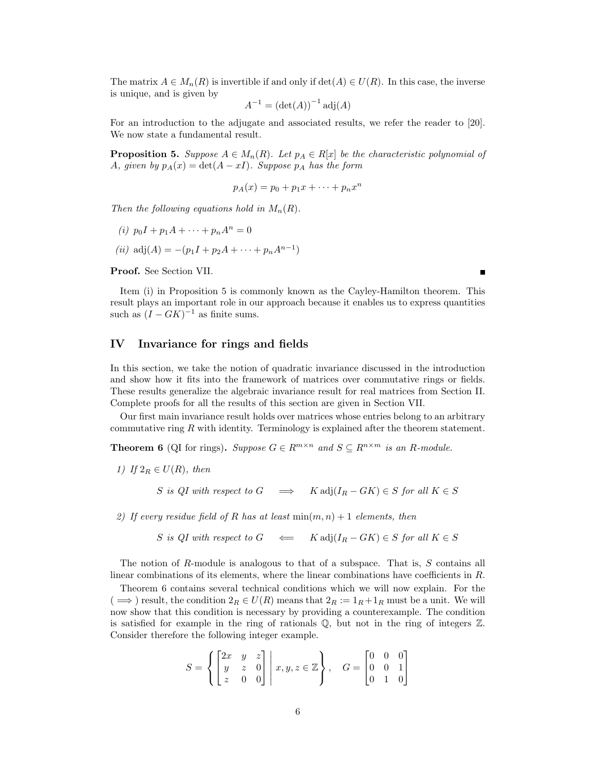The matrix  $A \in M_n(R)$  is invertible if and only if  $\det(A) \in U(R)$ . In this case, the inverse is unique, and is given by

$$
A^{-1} = \left(\det(A)\right)^{-1} \operatorname{adj}(A)
$$

For an introduction to the adjugate and associated results, we refer the reader to [\[20\]](#page-16-17). We now state a fundamental result.

<span id="page-5-2"></span>**Proposition 5.** Suppose  $A \in M_n(R)$ . Let  $p_A \in R[x]$  be the characteristic polynomial of A, given by  $p_A(x) = \det(A - xI)$ . Suppose  $p_A$  has the form

$$
p_A(x) = p_0 + p_1 x + \dots + p_n x^n
$$

Then the following equations hold in  $M_n(R)$ .

- <span id="page-5-1"></span>(i)  $p_0I + p_1A + \cdots + p_nA^n = 0$
- <span id="page-5-4"></span>(*ii*)  $adj(A) = -(p_1I + p_2A + \cdots + p_nA^{n-1})$

Proof. See Section [VII.](#page-9-0)

Item [\(i\)](#page-5-1) in Proposition [5](#page-5-2) is commonly known as the Cayley-Hamilton theorem. This result plays an important role in our approach because it enables us to express quantities such as  $(I - GK)^{-1}$  as finite sums.

# <span id="page-5-0"></span>IV Invariance for rings and fields

In this section, we take the notion of quadratic invariance discussed in the introduction and show how it fits into the framework of matrices over commutative rings or fields. These results generalize the algebraic invariance result for real matrices from Section [II.](#page-3-0) Complete proofs for all the results of this section are given in Section [VII.](#page-9-0)

Our first main invariance result holds over matrices whose entries belong to an arbitrary commutative ring  $R$  with identity. Terminology is explained after the theorem statement.

<span id="page-5-3"></span>**Theorem 6** (QI for rings). Suppose  $G \in \mathbb{R}^{m \times n}$  and  $S \subseteq \mathbb{R}^{n \times m}$  is an R-module.

1) If  $2_R \in U(R)$ , then

S is QI with respect to  $G \implies K \text{adj}(I_R - GK) \in S$  for all  $K \in S$ 

2) If every residue field of R has at least  $\min(m, n) + 1$  elements, then

S is QI with respect to  $G \iff K \text{adj}(I_R - GK) \in S$  for all  $K \in S$ 

The notion of R-module is analogous to that of a subspace. That is,  $S$  contains all linear combinations of its elements, where the linear combinations have coefficients in R.

Theorem [6](#page-5-3) contains several technical conditions which we will now explain. For the  $( \implies )$  result, the condition  $2_R \in U(R)$  means that  $2_R := 1_R + 1_R$  must be a unit. We will now show that this condition is necessary by providing a counterexample. The condition is satisfied for example in the ring of rationals  $\mathbb{Q}$ , but not in the ring of integers  $\mathbb{Z}$ . Consider therefore the following integer example.

$$
S = \left\{ \begin{bmatrix} 2x & y & z \\ y & z & 0 \\ z & 0 & 0 \end{bmatrix} \middle| \ x, y, z \in \mathbb{Z} \right\}, \quad G = \begin{bmatrix} 0 & 0 & 0 \\ 0 & 0 & 1 \\ 0 & 1 & 0 \end{bmatrix}
$$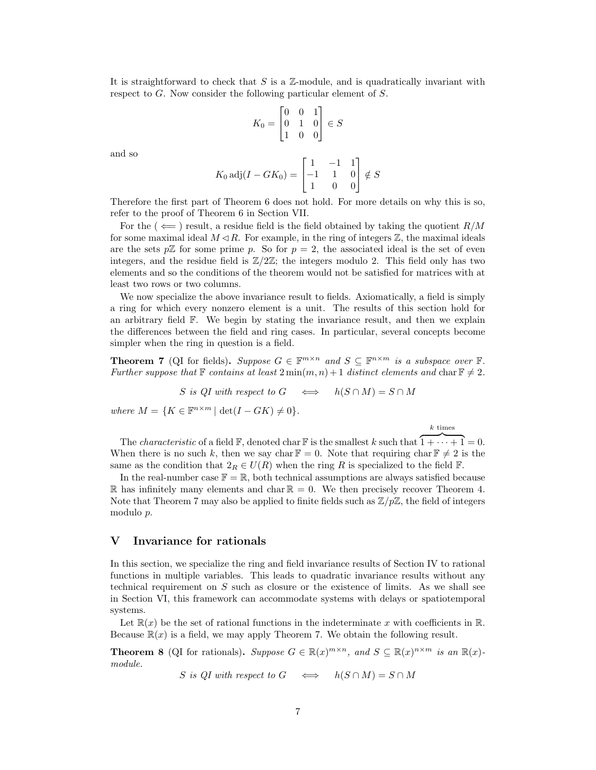It is straightforward to check that S is a  $\mathbb{Z}$ -module, and is quadratically invariant with respect to G. Now consider the following particular element of S.

$$
K_0 = \begin{bmatrix} 0 & 0 & 1 \\ 0 & 1 & 0 \\ 1 & 0 & 0 \end{bmatrix} \in S
$$

and so

$$
K_0 \operatorname{adj}(I - GK_0) = \begin{bmatrix} 1 & -1 & 1 \\ -1 & 1 & 0 \\ 1 & 0 & 0 \end{bmatrix} \notin S
$$

Therefore the first part of Theorem [6](#page-5-3) does not hold. For more details on why this is so, refer to the proof of Theorem [6](#page-5-3) in Section [VII.](#page-9-0)

For the  $(\Leftarrow)$  result, a residue field is the field obtained by taking the quotient  $R/M$ for some maximal ideal  $M \triangleleft R$ . For example, in the ring of integers  $\mathbb{Z}$ , the maximal ideals are the sets  $p\mathbb{Z}$  for some prime p. So for  $p=2$ , the associated ideal is the set of even integers, and the residue field is  $\mathbb{Z}/2\mathbb{Z}$ ; the integers modulo 2. This field only has two elements and so the conditions of the theorem would not be satisfied for matrices with at least two rows or two columns.

We now specialize the above invariance result to fields. Axiomatically, a field is simply a ring for which every nonzero element is a unit. The results of this section hold for an arbitrary field  $\mathbb{F}$ . We begin by stating the invariance result, and then we explain the differences between the field and ring cases. In particular, several concepts become simpler when the ring in question is a field.

<span id="page-6-1"></span>**Theorem 7** (QI for fields). Suppose  $G \in \mathbb{F}^{m \times n}$  and  $S \subseteq \mathbb{F}^{n \times m}$  is a subspace over  $\mathbb{F}$ . Further suppose that  $\mathbb F$  contains at least  $2 \min(m, n) + 1$  distinct elements and char  $\mathbb F \neq 2$ .

S is QI with respect to  $G \iff h(S \cap M) = S \cap M$ 

where  $M = \{K \in \mathbb{F}^{n \times m} \mid \det(I - GK) \neq 0\}.$ 

 $\boldsymbol{k}$  times

The *characteristic* of a field  $\mathbb{F}$ , denoted char  $\mathbb{F}$  is the smallest k such that  $\overline{1 + \cdots + 1} = 0$ . When there is no such k, then we say char  $\mathbb{F} = 0$ . Note that requiring char  $\mathbb{F} \neq 2$  is the same as the condition that  $2_R \in U(R)$  when the ring R is specialized to the field F.

In the real-number case  $\mathbb{F} = \mathbb{R}$ , both technical assumptions are always satisfied because R has infinitely many elements and char  $\mathbb{R} = 0$ . We then precisely recover Theorem [4.](#page-3-1) Note that Theorem [7](#page-6-1) may also be applied to finite fields such as  $\mathbb{Z}/p\mathbb{Z}$ , the field of integers modulo p.

## <span id="page-6-0"></span>V Invariance for rationals

In this section, we specialize the ring and field invariance results of Section [IV](#page-5-0) to rational functions in multiple variables. This leads to quadratic invariance results without any technical requirement on  $S$  such as closure or the existence of limits. As we shall see in Section [VI,](#page-7-0) this framework can accommodate systems with delays or spatiotemporal systems.

Let  $\mathbb{R}(x)$  be the set of rational functions in the indeterminate x with coefficients in  $\mathbb{R}$ . Because  $\mathbb{R}(x)$  is a field, we may apply Theorem [7.](#page-6-1) We obtain the following result.

<span id="page-6-2"></span>**Theorem 8** (QI for rationals). Suppose  $G \in \mathbb{R}(x)^{m \times n}$ , and  $S \subseteq \mathbb{R}(x)^{n \times m}$  is an  $\mathbb{R}(x)$ module.

$$
S
$$
 is  $QI$  with respect to  $G \iff h(S \cap M) = S \cap M$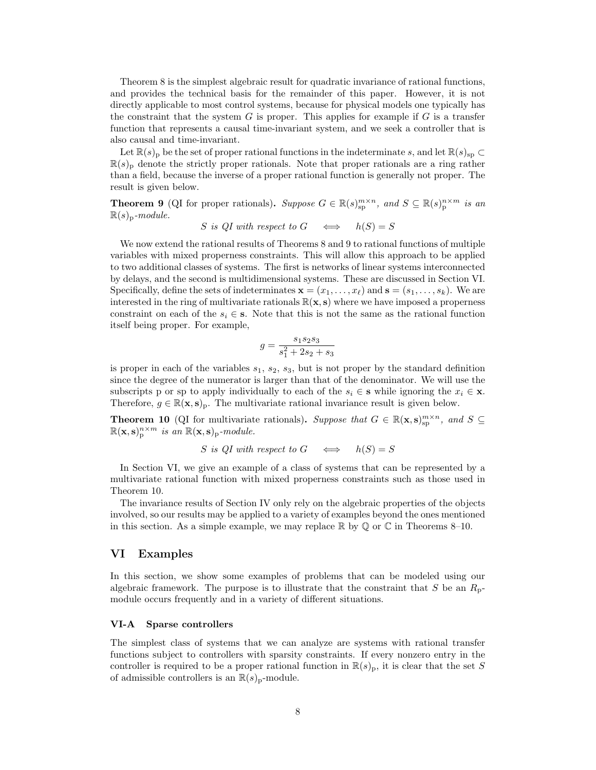Theorem [8](#page-6-2) is the simplest algebraic result for quadratic invariance of rational functions, and provides the technical basis for the remainder of this paper. However, it is not directly applicable to most control systems, because for physical models one typically has the constraint that the system  $G$  is proper. This applies for example if  $G$  is a transfer function that represents a causal time-invariant system, and we seek a controller that is also causal and time-invariant.

Let  $\mathbb{R}(s)$ <sub>p</sub> be the set of proper rational functions in the indeterminate s, and let  $\mathbb{R}(s)$ <sub>sp</sub> ⊂  $\mathbb{R}(s)$ <sub>p</sub> denote the strictly proper rationals. Note that proper rationals are a ring rather than a field, because the inverse of a proper rational function is generally not proper. The result is given below.

<span id="page-7-1"></span>**Theorem 9** (QI for proper rationals). Suppose  $G \in \mathbb{R}(s)_{\text{sp}}^{m \times n}$ , and  $S \subseteq \mathbb{R}(s)_{\text{p}}^{n \times m}$  is an  $\mathbb{R}(s)_{p}$ -module.

S is QI with respect to 
$$
G \iff h(S) = S
$$

We now extend the rational results of Theorems [8](#page-6-2) and [9](#page-7-1) to rational functions of multiple variables with mixed properness constraints. This will allow this approach to be applied to two additional classes of systems. The first is networks of linear systems interconnected by delays, and the second is multidimensional systems. These are discussed in Section [VI.](#page-7-0) Specifically, define the sets of indeterminates  $\mathbf{x} = (x_1, \ldots, x_\ell)$  and  $\mathbf{s} = (s_1, \ldots, s_k)$ . We are interested in the ring of multivariate rationals  $\mathbb{R}(\mathbf{x}, \mathbf{s})$  where we have imposed a properness constraint on each of the  $s_i \in \mathbf{s}$ . Note that this is not the same as the rational function itself being proper. For example,

$$
g = \frac{s_1 s_2 s_3}{s_1^2 + 2s_2 + s_3}
$$

is proper in each of the variables  $s_1$ ,  $s_2$ ,  $s_3$ , but is not proper by the standard definition since the degree of the numerator is larger than that of the denominator. We will use the subscripts p or sp to apply individually to each of the  $s_i \in \mathbf{s}$  while ignoring the  $x_i \in \mathbf{x}$ . Therefore,  $g \in \mathbb{R}(\mathbf{x}, \mathbf{s})_p$ . The multivariate rational invariance result is given below.

<span id="page-7-2"></span>**Theorem 10** (QI for multivariate rationals). Suppose that  $G \in \mathbb{R}(\mathbf{x}, s)_{sp}^{m \times n}$ , and  $S \subseteq$  $\mathbb{R}(\mathbf{x}, \mathbf{s})_p^{n \times m}$  is an  $\mathbb{R}(\mathbf{x}, \mathbf{s})_p$ -module.

S is QI with respect to  $G \iff h(S) = S$ 

In Section [VI,](#page-7-0) we give an example of a class of systems that can be represented by a multivariate rational function with mixed properness constraints such as those used in Theorem [10.](#page-7-2)

The invariance results of Section [IV](#page-5-0) only rely on the algebraic properties of the objects involved, so our results may be applied to a variety of examples beyond the ones mentioned in this section. As a simple example, we may replace  $\mathbb R$  by  $\mathbb Q$  or  $\mathbb C$  in Theorems [8](#page-6-2)[–10.](#page-7-2)

## <span id="page-7-0"></span>VI Examples

In this section, we show some examples of problems that can be modeled using our algebraic framework. The purpose is to illustrate that the constraint that S be an  $R_{p}$ module occurs frequently and in a variety of different situations.

## VI-A Sparse controllers

The simplest class of systems that we can analyze are systems with rational transfer functions subject to controllers with sparsity constraints. If every nonzero entry in the controller is required to be a proper rational function in  $\mathbb{R}(s)_{p}$ , it is clear that the set S of admissible controllers is an  $\mathbb{R}(s)_{p}$ -module.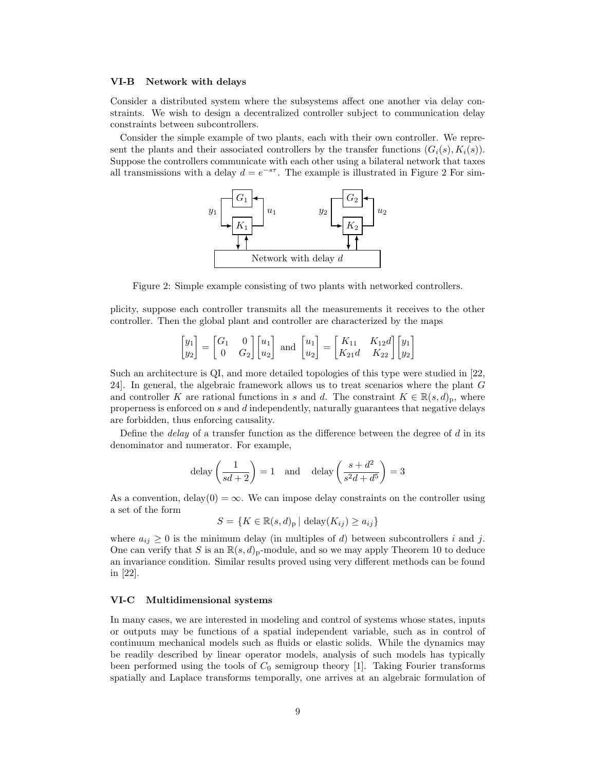#### VI-B Network with delays

Consider a distributed system where the subsystems affect one another via delay constraints. We wish to design a decentralized controller subject to communication delay constraints between subcontrollers.

Consider the simple example of two plants, each with their own controller. We represent the plants and their associated controllers by the transfer functions  $(G_i(s), K_i(s))$ . Suppose the controllers communicate with each other using a bilateral network that taxes all transmissions with a delay  $d = e^{-s\tau}$ . The example is illustrated in Figure [2](#page-8-1) For sim-



<span id="page-8-1"></span>Figure 2: Simple example consisting of two plants with networked controllers.

plicity, suppose each controller transmits all the measurements it receives to the other controller. Then the global plant and controller are characterized by the maps

$$
\begin{bmatrix} y_1 \\ y_2 \end{bmatrix} = \begin{bmatrix} G_1 & 0 \\ 0 & G_2 \end{bmatrix} \begin{bmatrix} u_1 \\ u_2 \end{bmatrix} \text{ and } \begin{bmatrix} u_1 \\ u_2 \end{bmatrix} = \begin{bmatrix} K_{11} & K_{12}d \\ K_{21}d & K_{22} \end{bmatrix} \begin{bmatrix} y_1 \\ y_2 \end{bmatrix}
$$

Such an architecture is QI, and more detailed topologies of this type were studied in [\[22,](#page-16-3) [24\]](#page-16-2). In general, the algebraic framework allows us to treat scenarios where the plant G and controller K are rational functions in s and d. The constraint  $K \in \mathbb{R}(s,d)_{p}$ , where properness is enforced on s and d independently, naturally guarantees that negative delays are forbidden, thus enforcing causality.

Define the *delay* of a transfer function as the difference between the degree of  $d$  in its denominator and numerator. For example,

$$
delay\left(\frac{1}{sd+2}\right) = 1 \quad \text{and} \quad delay\left(\frac{s+d^2}{s^2d+d^5}\right) = 3
$$

As a convention, delay $(0) = \infty$ . We can impose delay constraints on the controller using a set of the form

$$
S = \{ K \in \mathbb{R}(s, d)_{p} \mid \text{delay}(K_{ij}) \ge a_{ij} \}
$$

where  $a_{ij} \geq 0$  is the minimum delay (in multiples of d) between subcontrollers i and j. One can verify that S is an  $\mathbb{R}(s, d)_{p}$ -module, and so we may apply Theorem [10](#page-7-2) to deduce an invariance condition. Similar results proved using very different methods can be found in [\[22\]](#page-16-3).

### <span id="page-8-0"></span>VI-C Multidimensional systems

In many cases, we are interested in modeling and control of systems whose states, inputs or outputs may be functions of a spatial independent variable, such as in control of continuum mechanical models such as fluids or elastic solids. While the dynamics may be readily described by linear operator models, analysis of such models has typically been performed using the tools of  $C_0$  semigroup theory [\[1\]](#page-15-12). Taking Fourier transforms spatially and Laplace transforms temporally, one arrives at an algebraic formulation of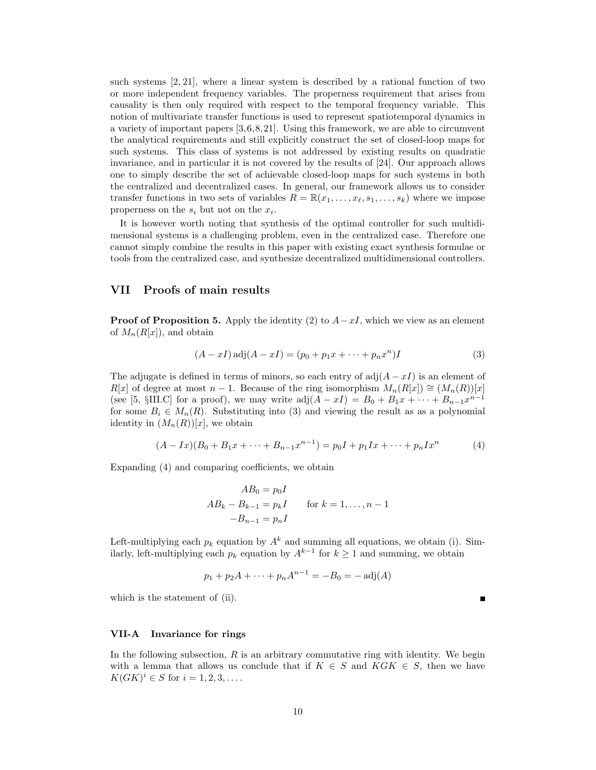such systems [\[2,](#page-15-6) [21\]](#page-16-18), where a linear system is described by a rational function of two or more independent frequency variables. The properness requirement that arises from causality is then only required with respect to the temporal frequency variable. This notion of multivariate transfer functions is used to represent spatiotemporal dynamics in a variety of important papers [\[3,](#page-15-7)[6,](#page-15-2)[8,](#page-15-13)[21\]](#page-16-18). Using this framework, we are able to circumvent the analytical requirements and still explicitly construct the set of closed-loop maps for such systems. This class of systems is not addressed by existing results on quadratic invariance, and in particular it is not covered by the results of [\[24\]](#page-16-2). Our approach allows one to simply describe the set of achievable closed-loop maps for such systems in both the centralized and decentralized cases. In general, our framework allows us to consider transfer functions in two sets of variables  $R = \mathbb{R}(x_1, \ldots, x_\ell, s_1, \ldots, s_k)$  where we impose properness on the  $s_i$  but not on the  $x_i$ .

It is however worth noting that synthesis of the optimal controller for such multidimensional systems is a challenging problem, even in the centralized case. Therefore one cannot simply combine the results in this paper with existing exact synthesis formulae or tools from the centralized case, and synthesize decentralized multidimensional controllers.

## <span id="page-9-0"></span>VII Proofs of main results

**Proof of Proposition [5.](#page-5-2)** Apply the identity [\(2\)](#page-4-1) to  $A-xI$ , which we view as an element of  $M_n(R[x])$ , and obtain

<span id="page-9-1"></span>
$$
(A - xI) \text{adj}(A - xI) = (p_0 + p_1x + \dots + p_nx^n)I
$$
\n(3)

The adjugate is defined in terms of minors, so each entry of  $adj(A - xI)$  is an element of  $R[x]$  of degree at most  $n-1$ . Because of the ring isomorphism  $M_n(R[x]) \cong (M_n(R))[x]$ (see [\[5,](#page-15-11) §III.C] for a proof), we may write  $adj(A - xI) = B_0 + B_1x + \cdots + B_{n-1}x^{n-1}$ for some  $B_i \in M_n(R)$ . Substituting into [\(3\)](#page-9-1) and viewing the result as as a polynomial identity in  $(M_n(R))[x]$ , we obtain

<span id="page-9-2"></span>
$$
(A - Ix)(B_0 + B_1x + \dots + B_{n-1}x^{n-1}) = p_0I + p_1Ix + \dots + p_nIx^n
$$
 (4)

Expanding [\(4\)](#page-9-2) and comparing coefficients, we obtain

$$
AB_0 = p_0 I
$$
  
\n
$$
AB_k - B_{k-1} = p_k I
$$
 for  $k = 1, ..., n-1$   
\n
$$
-B_{n-1} = p_n I
$$

Left-multiplying each  $p_k$  equation by  $A^k$  and summing all equations, we obtain [\(i\)](#page-5-1). Similarly, left-multiplying each  $p_k$  equation by  $A^{k-1}$  for  $k \ge 1$  and summing, we obtain

$$
p_1 + p_2A + \dots + p_nA^{n-1} = -B_0 = -\operatorname{adj}(A)
$$

which is the statement of [\(ii\)](#page-5-4).

### VII-A Invariance for rings

In the following subsection,  $R$  is an arbitrary commutative ring with identity. We begin with a lemma that allows us conclude that if  $K \in S$  and  $KGK \in S$ , then we have  $K(GK)^{i} \in S$  for  $i = 1, 2, 3, ...$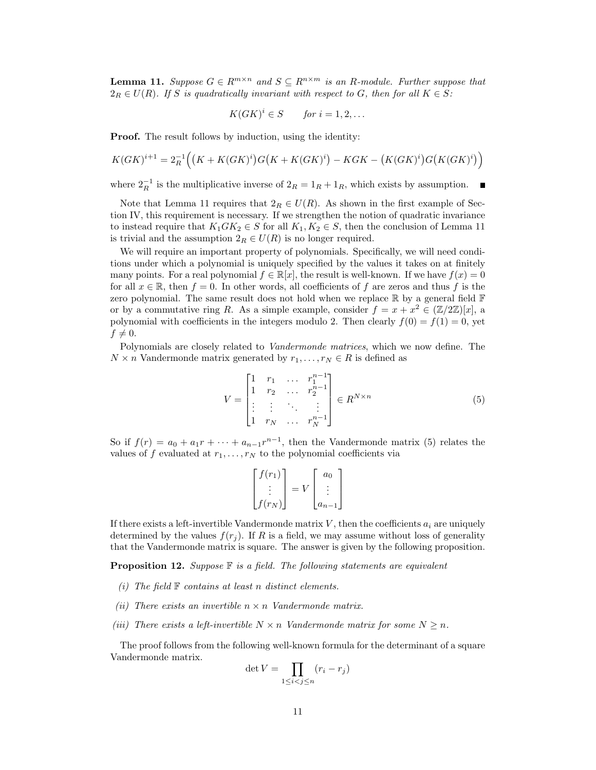<span id="page-10-0"></span>**Lemma 11.** Suppose  $G \in R^{m \times n}$  and  $S \subseteq R^{n \times m}$  is an R-module. Further suppose that  $2_R \in U(R)$ . If S is quadratically invariant with respect to G, then for all  $K \in S$ :

$$
K(GK)^{i} \in S \qquad \text{for } i = 1, 2, \dots
$$

Proof. The result follows by induction, using the identity:

$$
K(GK)^{i+1} = 2_R^{-1} \Big( \big( K + K(GK)^i \big) G \big( K + K(GK)^i \big) - KGK - \big( K(GK)^i \big) G \big( K(GK)^i \big) \Big)
$$

where  $2_R^{-1}$  is the multiplicative inverse of  $2_R = 1_R + 1_R$ , which exists by assumption.

Note that Lemma [11](#page-10-0) requires that  $2_R \in U(R)$ . As shown in the first example of Section [IV,](#page-5-0) this requirement is necessary. If we strengthen the notion of quadratic invariance to instead require that  $K_1 G K_2 \in S$  for all  $K_1, K_2 \in S$ , then the conclusion of Lemma [11](#page-10-0) is trivial and the assumption  $2_R \in U(R)$  is no longer required.

We will require an important property of polynomials. Specifically, we will need conditions under which a polynomial is uniquely specified by the values it takes on at finitely many points. For a real polynomial  $f \in \mathbb{R}[x]$ , the result is well-known. If we have  $f(x) = 0$ for all  $x \in \mathbb{R}$ , then  $f = 0$ . In other words, all coefficients of f are zeros and thus f is the zero polynomial. The same result does not hold when we replace  $\mathbb R$  by a general field  $\mathbb F$ or by a commutative ring R. As a simple example, consider  $f = x + x^2 \in (\mathbb{Z}/2\mathbb{Z})[x]$ , a polynomial with coefficients in the integers modulo 2. Then clearly  $f(0) = f(1) = 0$ , yet  $f \neq 0.$ 

Polynomials are closely related to Vandermonde matrices, which we now define. The  $N \times n$  Vandermonde matrix generated by  $r_1, \ldots, r_N \in R$  is defined as

<span id="page-10-1"></span>
$$
V = \begin{bmatrix} 1 & r_1 & \dots & r_1^{n-1} \\ 1 & r_2 & \dots & r_2^{n-1} \\ \vdots & \vdots & \ddots & \vdots \\ 1 & r_N & \dots & r_N^{n-1} \end{bmatrix} \in R^{N \times n}
$$
 (5)

So if  $f(r) = a_0 + a_1r + \cdots + a_{n-1}r^{n-1}$ , then the Vandermonde matrix [\(5\)](#page-10-1) relates the values of f evaluated at  $r_1, \ldots, r_N$  to the polynomial coefficients via

$$
\begin{bmatrix} f(r_1) \\ \vdots \\ f(r_N) \end{bmatrix} = V \begin{bmatrix} a_0 \\ \vdots \\ a_{n-1} \end{bmatrix}
$$

If there exists a left-invertible Vandermonde matrix  $V$ , then the coefficients  $a_i$  are uniquely determined by the values  $f(r_j)$ . If R is a field, we may assume without loss of generality that the Vandermonde matrix is square. The answer is given by the following proposition.

<span id="page-10-2"></span>**Proposition 12.** Suppose  $\mathbb F$  is a field. The following statements are equivalent

- (i) The field  $\mathbb F$  contains at least n distinct elements.
- <span id="page-10-4"></span>(ii) There exists an invertible  $n \times n$  Vandermonde matrix.
- <span id="page-10-3"></span>(iii) There exists a left-invertible  $N \times n$  Vandermonde matrix for some  $N \geq n$ .

The proof follows from the following well-known formula for the determinant of a square Vandermonde matrix.

$$
\det V = \prod_{1 \le i < j \le n} (r_i - r_j)
$$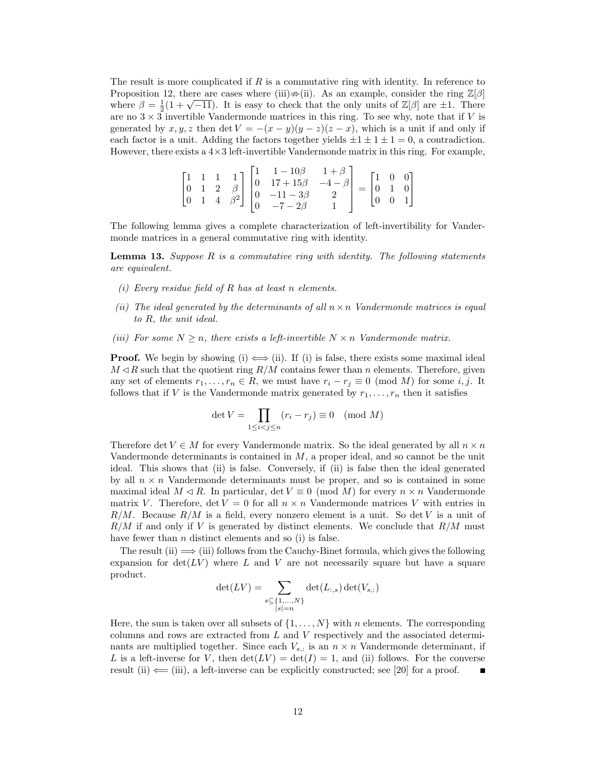The result is more complicated if  $R$  is a commutative ring with identity. In reference to Proposition [12,](#page-10-2) there are cases where [\(iii\)](#page-10-3) $\neq$ [\(ii\)](#page-10-4). As an example, consider the ring  $\mathbb{Z}[\beta]$ Proposition 12, there are cases where (iii) $\neq$ (ii). As an example, consider the ring  $\mathbb{Z}[\beta]$  where  $\beta = \frac{1}{2}(1 + \sqrt{-11})$ . It is easy to check that the only units of  $\mathbb{Z}[\beta]$  are  $\pm 1$ . There are no  $3 \times 3$  invertible Vandermonde matrices in this ring. To see why, note that if V is generated by x, y, z then det  $V = -(x - y)(y - z)(z - x)$ , which is a unit if and only if each factor is a unit. Adding the factors together yields  $\pm 1 \pm 1 \pm 1 = 0$ , a contradiction. However, there exists a  $4\times3$  left-invertible Vandermonde matrix in this ring. For example,

$$
\begin{bmatrix} 1 & 1 & 1 & 1 \ 0 & 1 & 2 & \beta \ 0 & 1 & 4 & \beta^2 \end{bmatrix} \begin{bmatrix} 1 & 1-10\beta & 1+\beta \ 0 & 17+15\beta & -4-\beta \ 0 & -11-3\beta & 2 \ 0 & -7-2\beta & 1 \end{bmatrix} = \begin{bmatrix} 1 & 0 & 0 \ 0 & 1 & 0 \ 0 & 0 & 1 \end{bmatrix}
$$

The following lemma gives a complete characterization of left-invertibility for Vandermonde matrices in a general commutative ring with identity.

<span id="page-11-3"></span>**Lemma 13.** Suppose  $R$  is a commutative ring with identity. The following statements are equivalent.

- <span id="page-11-0"></span>(i) Every residue field of  $R$  has at least  $n$  elements.
- <span id="page-11-1"></span>(ii) The ideal generated by the determinants of all  $n \times n$  Vandermonde matrices is equal to R, the unit ideal.
- <span id="page-11-2"></span>(iii) For some  $N \geq n$ , there exists a left-invertible  $N \times n$  Vandermonde matrix.

**Proof.** We begin by showing [\(i\)](#page-11-0)  $\iff$  [\(ii\)](#page-11-1). If (i) is false, there exists some maximal ideal  $M \triangleleft R$  such that the quotient ring  $R/M$  contains fewer than n elements. Therefore, given any set of elements  $r_1, \ldots, r_n \in R$ , we must have  $r_i - r_j \equiv 0 \pmod{M}$  for some i, j. It follows that if V is the Vandermonde matrix generated by  $r_1, \ldots, r_n$  then it satisfies

$$
\det V = \prod_{1 \le i < j \le n} (r_i - r_j) \equiv 0 \pmod{M}
$$

Therefore det  $V \in M$  for every Vandermonde matrix. So the ideal generated by all  $n \times n$ Vandermonde determinants is contained in  $M$ , a proper ideal, and so cannot be the unit ideal. This shows that [\(ii\)](#page-11-1) is false. Conversely, if [\(ii\)](#page-11-1) is false then the ideal generated by all  $n \times n$  Vandermonde determinants must be proper, and so is contained in some maximal ideal  $M \triangleleft R$ . In particular, det  $V \equiv 0 \pmod{M}$  for every  $n \times n$  Vandermonde matrix V. Therefore, det  $V = 0$  for all  $n \times n$  Vandermonde matrices V with entries in  $R/M$ . Because  $R/M$  is a field, every nonzero element is a unit. So det V is a unit of  $R/M$  if and only if V is generated by distinct elements. We conclude that  $R/M$  must have fewer than  $n$  distinct elements and so [\(i\)](#page-11-0) is false.

The result  $(ii) \implies (iii)$  $(ii) \implies (iii)$  $(ii) \implies (iii)$  follows from the Cauchy-Binet formula, which gives the following expansion for  $det(LV)$  where L and V are not necessarily square but have a square product.

$$
\det(LV) = \sum_{\substack{s \subseteq \{1,\ldots,N\} \\ |s|=n}} \det(L_{:,s}) \det(V_{s,:})
$$

Here, the sum is taken over all subsets of  $\{1, \ldots, N\}$  with n elements. The corresponding columns and rows are extracted from L and V respectively and the associated determinants are multiplied together. Since each  $V_{s,:}$  is an  $n \times n$  Vandermonde determinant, if L is a left-inverse for V, then  $\det(LV) = \det(I) = 1$ , and [\(ii\)](#page-11-1) follows. For the converse result [\(ii\)](#page-11-1)  $\leftarrow$  [\(iii\)](#page-11-2), a left-inverse can be explicitly constructed; see [\[20\]](#page-16-17) for a proof.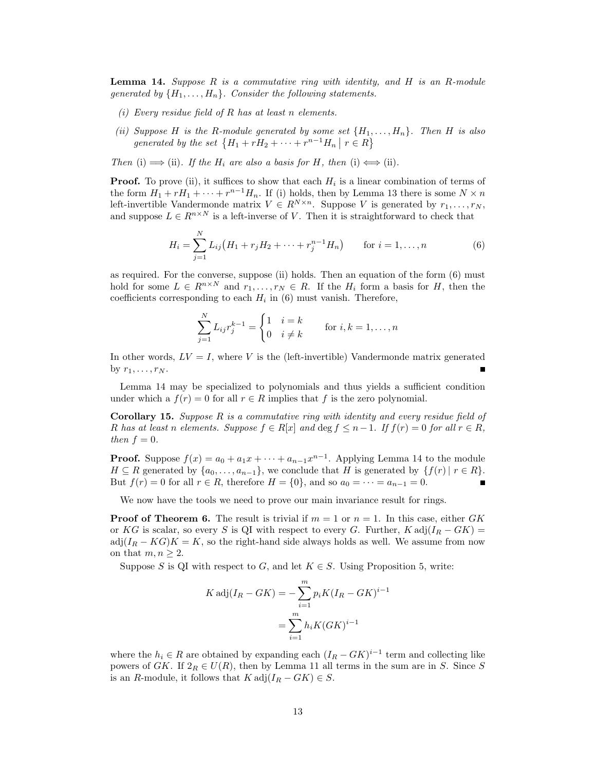<span id="page-12-3"></span>**Lemma 14.** Suppose  $R$  is a commutative ring with identity, and  $H$  is an  $R$ -module generated by  $\{H_1, \ldots, H_n\}$ . Consider the following statements.

- <span id="page-12-0"></span>(i) Every residue field of  $R$  has at least  $n$  elements.
- <span id="page-12-1"></span>(ii) Suppose H is the R-module generated by some set  $\{H_1, \ldots, H_n\}$ . Then H is also generated by the set  $\{H_1 + rH_2 + \cdots + r^{n-1}H_n \mid r \in R\}$

Then [\(i\)](#page-12-0)  $\implies$  [\(ii\)](#page-12-1). If the  $H_i$  are also a basis for H, then (i)  $\Longleftrightarrow$  (ii).

**Proof.** To prove [\(ii\)](#page-12-1), it suffices to show that each  $H_i$  is a linear combination of terms of the form  $H_1 + rH_1 + \cdots + r^{n-1}H_n$ . If [\(i\)](#page-12-0) holds, then by Lemma [13](#page-11-3) there is some  $N \times n$ left-invertible Vandermonde matrix  $V \in R^{N \times n}$ . Suppose V is generated by  $r_1, \ldots, r_N$ , and suppose  $L \in R^{n \times N}$  is a left-inverse of V. Then it is straightforward to check that

<span id="page-12-2"></span>
$$
H_i = \sum_{j=1}^{N} L_{ij} (H_1 + r_j H_2 + \dots + r_j^{n-1} H_n) \qquad \text{for } i = 1, \dots, n
$$
 (6)

as required. For the converse, suppose [\(ii\)](#page-12-1) holds. Then an equation of the form [\(6\)](#page-12-2) must hold for some  $L \in R^{n \times N}$  and  $r_1, \ldots, r_N \in R$ . If the  $H_i$  form a basis for H, then the coefficients corresponding to each  $H_i$  in [\(6\)](#page-12-2) must vanish. Therefore,

$$
\sum_{j=1}^{N} L_{ij} r_j^{k-1} = \begin{cases} 1 & i = k \\ 0 & i \neq k \end{cases} \quad \text{for } i, k = 1, \dots, n
$$

In other words,  $LV = I$ , where V is the (left-invertible) Vandermonde matrix generated by  $r_1, \ldots, r_N$ .

Lemma [14](#page-12-3) may be specialized to polynomials and thus yields a sufficient condition under which a  $f(r) = 0$  for all  $r \in R$  implies that f is the zero polynomial.

**Corollary 15.** Suppose  $R$  is a commutative ring with identity and every residue field of R has at least n elements. Suppose  $f \in R[x]$  and  $\deg f \leq n-1$ . If  $f(r) = 0$  for all  $r \in R$ , then  $f = 0$ .

**Proof.** Suppose  $f(x) = a_0 + a_1x + \cdots + a_{n-1}x^{n-1}$ . Applying Lemma [14](#page-12-3) to the module  $H \subseteq R$  generated by  $\{a_0, \ldots, a_{n-1}\}\,$ , we conclude that H is generated by  $\{f(r) | r \in R\}$ . But  $f(r) = 0$  for all  $r \in R$ , therefore  $H = \{0\}$ , and so  $a_0 = \cdots = a_{n-1} = 0$ .

We now have the tools we need to prove our main invariance result for rings.

**Proof of Theorem [6.](#page-5-3)** The result is trivial if  $m = 1$  or  $n = 1$ . In this case, either GK or KG is scalar, so every S is QI with respect to every G. Further, K adj $(I_R - GK)$  =  $adj(I_R - KG)K = K$ , so the right-hand side always holds as well. We assume from now on that  $m, n \geq 2$ .

Suppose S is QI with respect to G, and let  $K \in S$ . Using Proposition [5,](#page-5-2) write:

$$
K \operatorname{adj}(I_R - GK) = -\sum_{i=1}^{m} p_i K (I_R - GK)^{i-1}
$$

$$
= \sum_{i=1}^{m} h_i K (GK)^{i-1}
$$

where the  $h_i \in R$  are obtained by expanding each  $(I_R - GK)^{i-1}$  term and collecting like powers of GK. If  $2_R \in U(R)$ , then by Lemma [11](#page-10-0) all terms in the sum are in S. Since S is an R-module, it follows that  $K \text{adj}(I_R - GK) \in S$ .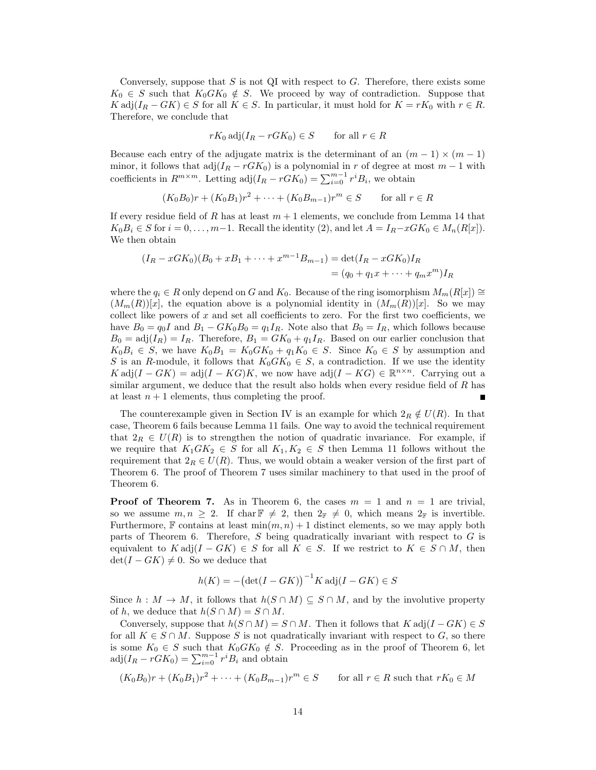Conversely, suppose that S is not QI with respect to G. Therefore, there exists some  $K_0 \in S$  such that  $K_0 G K_0 \notin S$ . We proceed by way of contradiction. Suppose that  $K \operatorname{adj}(I_R - GK) \in S$  for all  $K \in S$ . In particular, it must hold for  $K = rK_0$  with  $r \in R$ . Therefore, we conclude that

$$
rK_0 \operatorname{adj}(I_R - rGK_0) \in S \qquad \text{for all } r \in R
$$

Because each entry of the adjugate matrix is the determinant of an  $(m - 1) \times (m - 1)$ minor, it follows that  $adj(I_R - rGK_0)$  is a polynomial in r of degree at most  $m-1$  with coefficients in  $R^{m \times m}$ . Letting  $\text{adj}(I_R - rG K_0) = \sum_{i=0}^{m-1} r^i B_i$ , we obtain

$$
(K_0B_0)r + (K_0B_1)r^2 + \cdots + (K_0B_{m-1})r^m \in S
$$
 for all  $r \in R$ 

If every residue field of R has at least  $m + 1$  elements, we conclude from Lemma [14](#page-12-3) that  $K_0B_i \in S$  for  $i = 0, \ldots, m-1$ . Recall the identity [\(2\)](#page-4-1), and let  $A = I_R - xGK_0 \in M_n(R[x])$ . We then obtain

$$
(I_R - xGK_0)(B_0 + xB_1 + \dots + x^{m-1}B_{m-1}) = \det(I_R - xGK_0)I_R
$$
  
=  $(q_0 + q_1x + \dots + q_mx^m)I_R$ 

where the  $q_i \in R$  only depend on G and K<sub>0</sub>. Because of the ring isomorphism  $M_m(R[x]) \cong$  $(M_m(R))[x]$ , the equation above is a polynomial identity in  $(M_m(R))[x]$ . So we may collect like powers of  $x$  and set all coefficients to zero. For the first two coefficients, we have  $B_0 = q_0I$  and  $B_1 - GK_0B_0 = q_1I_R$ . Note also that  $B_0 = I_R$ , which follows because  $B_0 = \text{adj}(I_R) = I_R$ . Therefore,  $B_1 = GK_0 + q_1I_R$ . Based on our earlier conclusion that  $K_0B_i \in S$ , we have  $K_0B_1 = K_0GK_0 + q_1K_0 \in S$ . Since  $K_0 \in S$  by assumption and S is an R-module, it follows that  $K_0GK_0 \in S$ , a contradiction. If we use the identity  $K \operatorname{adj}(I - GK) = \operatorname{adj}(I - KG)K$ , we now have  $\operatorname{adj}(I - KG) \in \mathbb{R}^{n \times n}$ . Carrying out a similar argument, we deduce that the result also holds when every residue field of R has at least  $n + 1$  elements, thus completing the proof.

The counterexample given in Section [IV](#page-5-0) is an example for which  $2_R \notin U(R)$ . In that case, Theorem [6](#page-5-3) fails because Lemma [11](#page-10-0) fails. One way to avoid the technical requirement that  $2_R \in U(R)$  is to strengthen the notion of quadratic invariance. For example, if we require that  $K_1 G K_2 \in S$  for all  $K_1, K_2 \in S$  then Lemma [11](#page-10-0) follows without the requirement that  $2_R \in U(R)$ . Thus, we would obtain a weaker version of the first part of Theorem [6.](#page-5-3) The proof of Theorem [7](#page-6-1) uses similar machinery to that used in the proof of Theorem [6.](#page-5-3)

**Proof of Theorem [7.](#page-6-1)** As in Theorem [6,](#page-5-3) the cases  $m = 1$  and  $n = 1$  are trivial, so we assume  $m, n \geq 2$ . If char  $\mathbb{F} \neq 2$ , then  $2_{\mathbb{F}} \neq 0$ , which means  $2_{\mathbb{F}}$  is invertible. Furthermore, F contains at least  $\min(m, n) + 1$  distinct elements, so we may apply both parts of Theorem [6.](#page-5-3) Therefore, S being quadratically invariant with respect to G is equivalent to  $K \operatorname{adj}(I - GK) \in S$  for all  $K \in S$ . If we restrict to  $K \in S \cap M$ , then  $\det(I - GK) \neq 0$ . So we deduce that

$$
h(K) = -(\det(I - GK))^{-1} K \operatorname{adj}(I - GK) \in S
$$

Since  $h : M \to M$ , it follows that  $h(S \cap M) \subseteq S \cap M$ , and by the involutive property of h, we deduce that  $h(S \cap M) = S \cap M$ .

Conversely, suppose that  $h(S \cap M) = S \cap M$ . Then it follows that  $K$  adj $(I - GK) \in S$ for all  $K \in S \cap M$ . Suppose S is not quadratically invariant with respect to G, so there is some  $K_0 \in S$  such that  $K_0 G K_0 \notin S$ . Proceeding as in the proof of Theorem [6,](#page-5-3) let  $adj(I_R - rGK_0) = \sum_{i=0}^{m-1} r^i B_i$  and obtain

$$
(K_0B_0)r + (K_0B_1)r^2 + \dots + (K_0B_{m-1})r^m \in S \qquad \text{for all } r \in R \text{ such that } rK_0 \in M
$$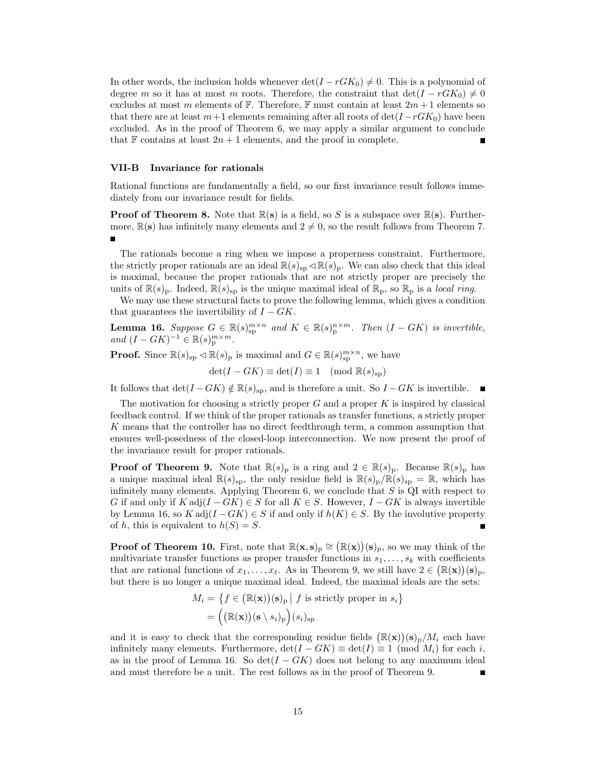In other words, the inclusion holds whenever  $\det(I - r G K_0) \neq 0$ . This is a polynomial of degree m so it has at most m roots. Therefore, the constraint that  $\det(I - rG K_0) \neq 0$ excludes at most m elements of  $\mathbb F$ . Therefore,  $\mathbb F$  must contain at least  $2m+1$  elements so that there are at least  $m+1$  elements remaining after all roots of  $\det(I - r G K_0)$  have been excluded. As in the proof of Theorem [6,](#page-5-3) we may apply a similar argument to conclude that  $\mathbb F$  contains at least  $2n + 1$  elements, and the proof in complete.

#### VII-B Invariance for rationals

Rational functions are fundamentally a field, so our first invariance result follows immediately from our invariance result for fields.

**Proof of Theorem [8.](#page-6-2)** Note that  $\mathbb{R}(s)$  is a field, so S is a subspace over  $\mathbb{R}(s)$ . Furthermore,  $\mathbb{R}(s)$  has infinitely many elements and  $2 \neq 0$ , so the result follows from Theorem [7.](#page-6-1)

The rationals become a ring when we impose a properness constraint. Furthermore, the strictly proper rationals are an ideal  $\mathbb{R}(s)_{\text{sp}} \triangleleft \mathbb{R}(s)_{\text{p}}$ . We can also check that this ideal is maximal, because the proper rationals that are not strictly proper are precisely the units of  $\mathbb{R}(s)_{\text{p}}$ . Indeed,  $\mathbb{R}(s)_{\text{sp}}$  is the unique maximal ideal of  $\mathbb{R}_{\text{p}}$ , so  $\mathbb{R}_{\text{p}}$  is a local ring.

We may use these structural facts to prove the following lemma, which gives a condition that guarantees the invertibility of  $I - GK$ .

<span id="page-14-0"></span>**Lemma 16.** Suppose  $G \in \mathbb{R}(s)_{\text{sp}}^{m \times n}$  and  $K \in \mathbb{R}(s)_{\text{p}}^{n \times m}$ . Then  $(I - GK)$  is invertible, and  $(I - GK)^{-1} \in \mathbb{R}(s)_p^{m \times m}$ .

**Proof.** Since  $\mathbb{R}(s)_{\text{sp}} \triangleleft \mathbb{R}(s)_{\text{p}}$  is maximal and  $G \in \mathbb{R}(s)_{\text{sp}}^{m \times n}$ , we have

$$
\det(I - GK) \equiv \det(I) \equiv 1 \pmod{\mathbb{R}(s_{\text{sp}})}
$$

It follows that  $\det(I - GK) \notin \mathbb{R}(s)_{\text{sp}}$ , and is therefore a unit. So  $I - GK$  is invertible.

The motivation for choosing a strictly proper  $G$  and a proper  $K$  is inspired by classical feedback control. If we think of the proper rationals as transfer functions, a strictly proper K means that the controller has no direct feedthrough term, a common assumption that ensures well-posedness of the closed-loop interconnection. We now present the proof of the invariance result for proper rationals.

**Proof of Theorem [9.](#page-7-1)** Note that  $\mathbb{R}(s)$ <sub>p</sub> is a ring and  $2 \in \mathbb{R}(s)$ <sub>p</sub>. Because  $\mathbb{R}(s)$ <sub>p</sub> has a unique maximal ideal  $\mathbb{R}(s)_{\text{sp}}$ , the only residue field is  $\mathbb{R}(s)_{\text{p}}/\mathbb{R}(s)_{\text{sp}} = \mathbb{R}$ , which has infinitely many elements. Applying Theorem  $6$ , we conclude that  $S$  is QI with respect to G if and only if  $K \text{adj}(I - GK) \in S$  for all  $K \in S$ . However,  $I - GK$  is always invertible by Lemma [16,](#page-14-0) so K adj $(I - GK) \in S$  if and only if  $h(K) \in S$ . By the involutive property of h, this is equivalent to  $h(S) = S$ .

**Proof of Theorem [10.](#page-7-2)** First, note that  $\mathbb{R}(\mathbf{x}, \mathbf{s})_p \cong (\mathbb{R}(\mathbf{x}))(\mathbf{s})_p$ , so we may think of the multivariate transfer functions as proper transfer functions in  $s_1, \ldots, s_k$  with coefficients that are rational functions of  $x_1, \ldots, x_\ell$ . As in Theorem [9,](#page-7-1) we still have  $2 \in (\mathbb{R}(\mathbf{x}))(s)_p$ , but there is no longer a unique maximal ideal. Indeed, the maximal ideals are the sets:

$$
M_i = \left\{ f \in (\mathbb{R}(\mathbf{x}))(s)_p \mid f \text{ is strictly proper in } s_i \right\}
$$

$$
= \left( (\mathbb{R}(\mathbf{x}))(s \setminus s_i)_p \right) (s_i)_{sp}
$$

and it is easy to check that the corresponding residue fields  $(\mathbb{R}(\mathbf{x}))(\mathbf{s})_p/M_i$  each have infinitely many elements. Furthermore,  $\det(I - GK) \equiv \det(I) \equiv 1 \pmod{M_i}$  for each i, as in the proof of Lemma [16.](#page-14-0) So  $\det(I - G K)$  does not belong to any maximum ideal and must therefore be a unit. The rest follows as in the proof of Theorem [9.](#page-7-1)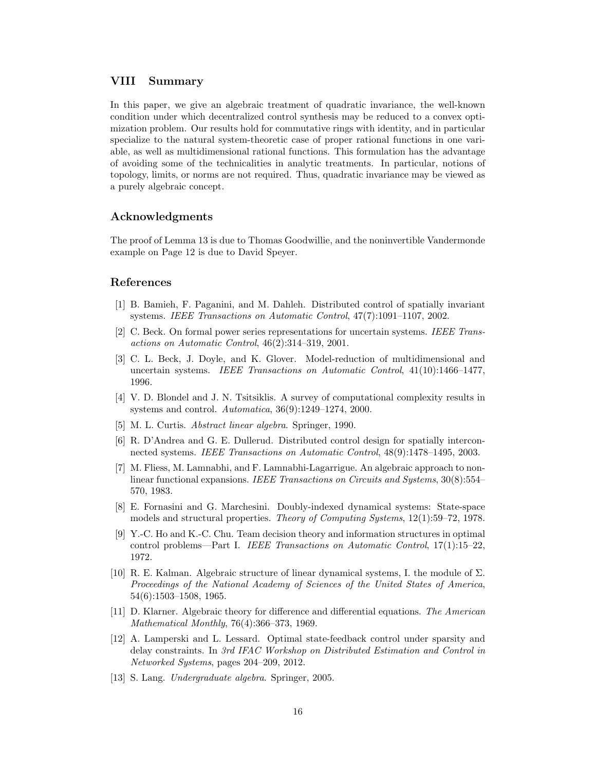# <span id="page-15-9"></span>VIII Summary

In this paper, we give an algebraic treatment of quadratic invariance, the well-known condition under which decentralized control synthesis may be reduced to a convex optimization problem. Our results hold for commutative rings with identity, and in particular specialize to the natural system-theoretic case of proper rational functions in one variable, as well as multidimensional rational functions. This formulation has the advantage of avoiding some of the technicalities in analytic treatments. In particular, notions of topology, limits, or norms are not required. Thus, quadratic invariance may be viewed as a purely algebraic concept.

# Acknowledgments

The proof of Lemma [13](#page-11-3) is due to Thomas Goodwillie, and the noninvertible Vandermonde example on Page [12](#page-10-3) is due to David Speyer.

# References

- <span id="page-15-12"></span>[1] B. Bamieh, F. Paganini, and M. Dahleh. Distributed control of spatially invariant systems. IEEE Transactions on Automatic Control, 47(7):1091–1107, 2002.
- <span id="page-15-6"></span>[2] C. Beck. On formal power series representations for uncertain systems. IEEE Transactions on Automatic Control, 46(2):314–319, 2001.
- <span id="page-15-7"></span>[3] C. L. Beck, J. Doyle, and K. Glover. Model-reduction of multidimensional and uncertain systems. IEEE Transactions on Automatic Control, 41(10):1466–1477, 1996.
- <span id="page-15-0"></span>[4] V. D. Blondel and J. N. Tsitsiklis. A survey of computational complexity results in systems and control. Automatica, 36(9):1249–1274, 2000.
- <span id="page-15-11"></span>[5] M. L. Curtis. Abstract linear algebra. Springer, 1990.
- <span id="page-15-2"></span>[6] R. D'Andrea and G. E. Dullerud. Distributed control design for spatially interconnected systems. IEEE Transactions on Automatic Control, 48(9):1478–1495, 2003.
- <span id="page-15-8"></span>[7] M. Fliess, M. Lamnabhi, and F. Lamnabhi-Lagarrigue. An algebraic approach to nonlinear functional expansions. IEEE Transactions on Circuits and Systems, 30(8):554– 570, 1983.
- <span id="page-15-13"></span>[8] E. Fornasini and G. Marchesini. Doubly-indexed dynamical systems: State-space models and structural properties. Theory of Computing Systems, 12(1):59–72, 1978.
- <span id="page-15-1"></span>[9] Y.-C. Ho and K.-C. Chu. Team decision theory and information structures in optimal control problems—Part I. IEEE Transactions on Automatic Control, 17(1):15–22, 1972.
- <span id="page-15-4"></span>[10] R. E. Kalman. Algebraic structure of linear dynamical systems, I. the module of Σ. Proceedings of the National Academy of Sciences of the United States of America, 54(6):1503–1508, 1965.
- <span id="page-15-5"></span>[11] D. Klarner. Algebraic theory for difference and differential equations. The American Mathematical Monthly, 76(4):366–373, 1969.
- <span id="page-15-3"></span>[12] A. Lamperski and L. Lessard. Optimal state-feedback control under sparsity and delay constraints. In 3rd IFAC Workshop on Distributed Estimation and Control in Networked Systems, pages 204–209, 2012.
- <span id="page-15-10"></span>[13] S. Lang. Undergraduate algebra. Springer, 2005.